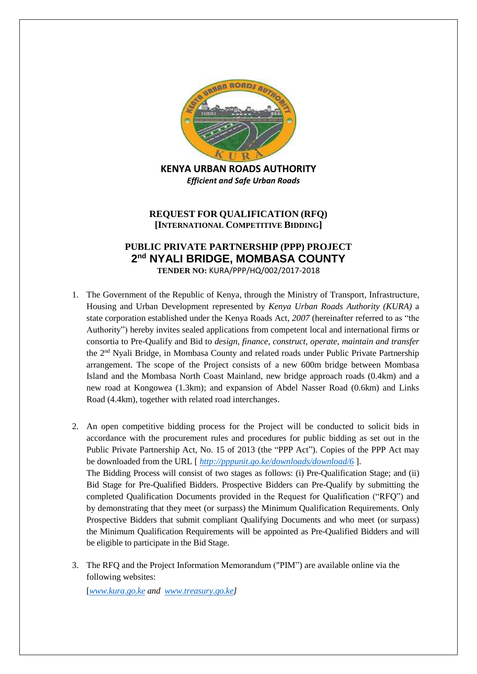

**KENYA URBAN ROADS AUTHORITY** *Efficient and Safe Urban Roads*

## **REQUEST FOR QUALIFICATION (RFQ) [INTERNATIONAL COMPETITIVE BIDDING]**

## **PUBLIC PRIVATE PARTNERSHIP (PPP) PROJECT 2 nd NYALI BRIDGE, MOMBASA COUNTY TENDER NO:** KURA/PPP/HQ/002/2017-2018

- 1. The Government of the Republic of Kenya, through the Ministry of Transport, Infrastructure, Housing and Urban Development represented by *Kenya Urban Roads Authority (KURA)* a state corporation established under the Kenya Roads Act, *2007* (hereinafter referred to as "the Authority") hereby invites sealed applications from competent local and international firms or consortia to Pre-Qualify and Bid to *design, finance, construct, operate, maintain and transfer* the 2<sup>nd</sup> Nyali Bridge, in Mombasa County and related roads under Public Private Partnership arrangement. The scope of the Project consists of a new 600m bridge between Mombasa Island and the Mombasa North Coast Mainland, new bridge approach roads (0.4km) and a new road at Kongowea (1.3km); and expansion of Abdel Nasser Road (0.6km) and Links Road (4.4km), together with related road interchanges.
- 2. An open competitive bidding process for the Project will be conducted to solicit bids in accordance with the procurement rules and procedures for public bidding as set out in the Public Private Partnership Act, No. 15 of 2013 (the "PPP Act"). Copies of the PPP Act may be downloaded from the URL [ *<http://pppunit.go.ke/downloads/download/6>* ]. The Bidding Process will consist of two stages as follows: (i) Pre-Qualification Stage; and (ii) Bid Stage for Pre-Qualified Bidders. Prospective Bidders can Pre-Qualify by submitting the completed Qualification Documents provided in the Request for Qualification ("RFQ") and by demonstrating that they meet (or surpass) the Minimum Qualification Requirements. Only Prospective Bidders that submit compliant Qualifying Documents and who meet (or surpass) the Minimum Qualification Requirements will be appointed as Pre-Qualified Bidders and will be eligible to participate in the Bid Stage.
- 3. The RFQ and the Project Information Memorandum ("PIM") are available online via the following websites:

[*[www.kura.go.ke](http://www.kura.go.ke/) and [www.treasury.go.ke\]](http://www.treasury.go.ke/)*